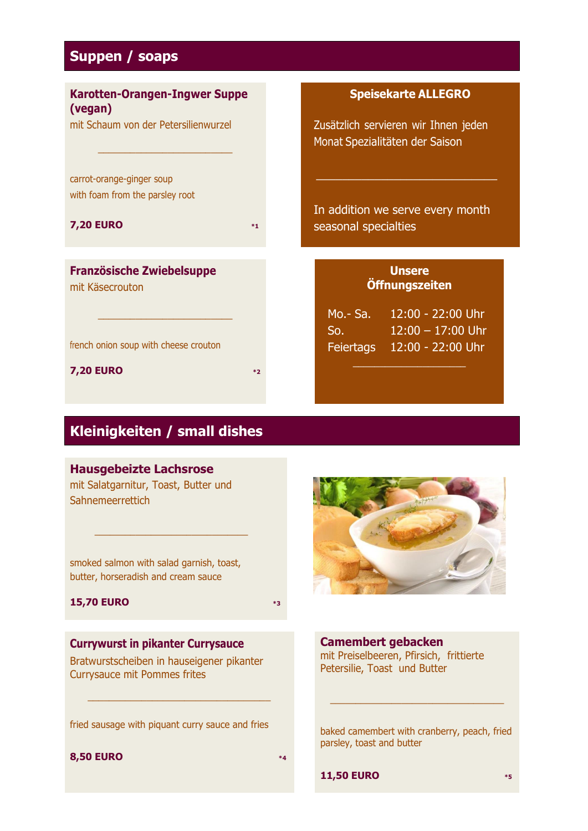## **Suppen / soaps**

| <b>Karotten-Orangen-Ingwer Suppe</b><br>(vegan)              |      | <b>Speisekarte ALLEGRO</b>                                             |
|--------------------------------------------------------------|------|------------------------------------------------------------------------|
| mit Schaum von der Petersilienwurzel                         |      | Zusätzlich servieren wir Ihnen jeden<br>Monat Spezialitäten der Saison |
| carrot-orange-ginger soup<br>with foam from the parsley root |      |                                                                        |
|                                                              |      | In addition we serve every month                                       |
| <b>7,20 EURO</b>                                             | $*1$ | seasonal specialties                                                   |
| <b>Französische Zwiebelsuppe</b>                             |      | <b>Unsere</b>                                                          |
| mit Käsecrouton                                              |      | Öffnungszeiten                                                         |
|                                                              |      | $12:00 - 22:00$ Uhr<br>$Mo - Sa.$                                      |
| french onion soup with cheese crouton                        |      | $12:00 - 17:00$ Uhr<br>So.<br>12:00 - 22:00 Uhr<br>Feiertags           |
| <b>7,20 EURO</b>                                             | $*2$ |                                                                        |

## **Kleinigkeiten / small dishes**

#### **Hausgebeizte Lachsrose**

mit Salatgarnitur, Toast, Butter und Sahnemeerrettich

smoked salmon with salad garnish, toast, butter, horseradish and cream sauce

\_\_\_\_\_\_\_\_\_\_\_\_\_\_\_\_\_\_\_\_\_\_\_\_\_\_\_\_\_\_

### **15,70 EURO \*3**

# **Currywurst in pikanter Currysauce**

Bratwurstscheiben in hauseigener pikanter Currysauce mit Pommes frites

fried sausage with piquant curry sauce and fries

\_\_\_\_\_\_\_\_\_\_\_\_\_\_\_\_\_\_\_\_\_\_\_\_\_\_\_\_\_\_\_\_\_\_

#### **8,50 EURO \*4**



**Camembert gebacken** mit Preiselbeeren, Pfirsich, frittierte Petersilie, Toast und Butter

baked camembert with cranberry, peach, fried parsley, toast and butter

\_\_\_\_\_\_\_\_\_\_\_\_\_\_\_\_\_\_\_\_\_\_\_\_\_\_\_\_\_\_\_\_\_\_

**11,50 EURO \*5**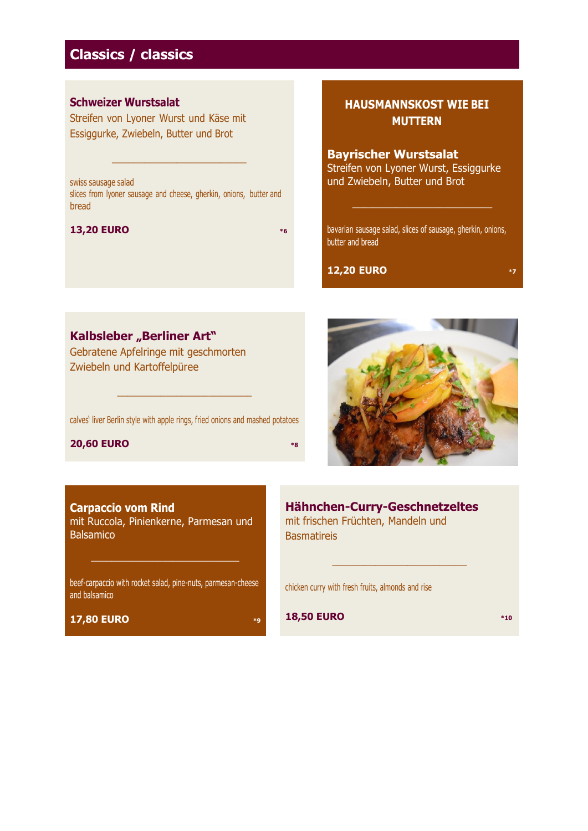## **Classics / classics**

## **Schweizer Wurstsalat**

Streifen von Lyoner Wurst und Käse mit Essiggurke, Zwiebeln, Butter und Brot

swiss sausage salad slices from lyoner sausage and cheese, gherkin, onions, butter and bread

 $\_$ 

#### **13,20 EURO \*6**

**HAUSMANNSKOST WIE BEI MUTTERN**

#### **Bayrischer Wurstsalat**

Streifen von Lyoner Wurst, Essiggurke und Zwiebeln, Butter und Brot

bavarian sausage salad, slices of sausage, gherkin, onions, butter and bread

\_\_\_\_\_\_\_\_\_\_\_\_\_\_\_\_\_\_\_\_\_\_\_\_\_\_

### **12,20 EURO \*7**

**Kalbsleber "Berliner Art"** 

Gebratene Apfelringe mit geschmorten Zwiebeln und Kartoffelpüree

calves' liver Berlin style with apple rings, fried onions and mashed potatoes

\_\_\_\_\_\_\_\_\_\_\_\_\_\_\_\_\_\_\_\_\_\_\_\_\_

#### **20,60 EURO \*8**



**Carpaccio vom Rind** mit Ruccola, Pinienkerne, Parmesan und Balsamico

beef-carpaccio with rocket salad, pine-nuts, parmesan-cheese and balsamico

 $\_$  . The set of the set of the set of the set of the set of the set of the set of the set of the set of the set of the set of the set of the set of the set of the set of the set of the set of the set of the set of the se

**17,80 EURO \*9**

**Hähnchen-Curry-Geschnetzeltes** mit frischen Früchten, Mandeln und **Basmatireis** 

\_\_\_\_\_\_\_\_\_\_\_\_\_\_\_\_\_\_\_\_\_\_\_\_\_

chicken curry with fresh fruits, almonds and rise

**18,50 EURO \*10**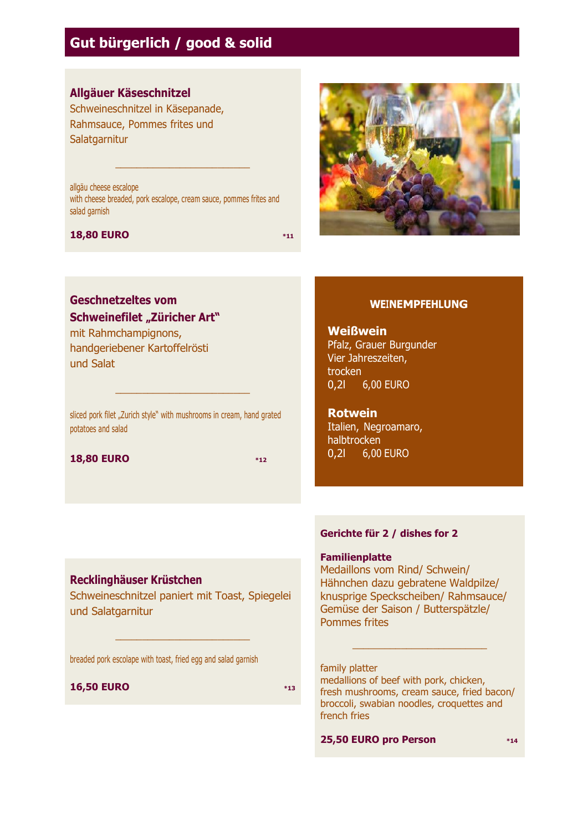## **Gut bürgerlich / good & solid**

## **Allgäuer Käseschnitzel**

Schweineschnitzel in Käsepanade, Rahmsauce, Pommes frites und **Salatgarnitur** 

allgäu cheese escalope with cheese breaded, pork escalope, cream sauce, pommes frites and salad garnish

\_\_\_\_\_\_\_\_\_\_\_\_\_\_\_\_\_\_\_\_\_\_\_\_\_

#### **18,80 EURO \*11**

## **Geschnetzeltes vom Schweinefilet "Züricher Art"**

mit Rahmchampignons, handgeriebener Kartoffelrösti und Salat

sliced pork filet "Zurich style" with mushrooms in cream, hand grated potatoes and salad

\_\_\_\_\_\_\_\_\_\_\_\_\_\_\_\_\_\_\_\_\_\_\_\_\_

**18,80 EURO \*12**



### **WEINEMPFEHLUNG**

**Weißwein** Pfalz, Grauer Burgunder Vier Jahreszeiten, trocken 0,2l 6,00 EURO

**Rotwein** Italien, Negroamaro, halbtrocken 0,2l 6,00 EURO

## **Recklinghäuser Krüstchen**

Schweineschnitzel paniert mit Toast, Spiegelei und Salatgarnitur

\_\_\_\_\_\_\_\_\_\_\_\_\_\_\_\_\_\_\_\_\_\_\_\_\_

breaded pork escolape with toast, fried egg and salad garnish

#### **16,50 EURO \*13**

**Gerichte für 2 / dishes for 2**

#### **Familienplatte**

Medaillons vom Rind/ Schwein/ Hähnchen dazu gebratene Waldpilze/ knusprige Speckscheiben/ Rahmsauce/ Gemüse der Saison / Butterspätzle/ Pommes frites

#### family platter

medallions of beef with pork, chicken, fresh mushrooms, cream sauce, fried bacon/ broccoli, swabian noodles, croquettes and french fries

\_\_\_\_\_\_\_\_\_\_\_\_\_\_\_\_\_\_\_\_\_\_\_\_\_

**25,50 EURO pro Person \*14**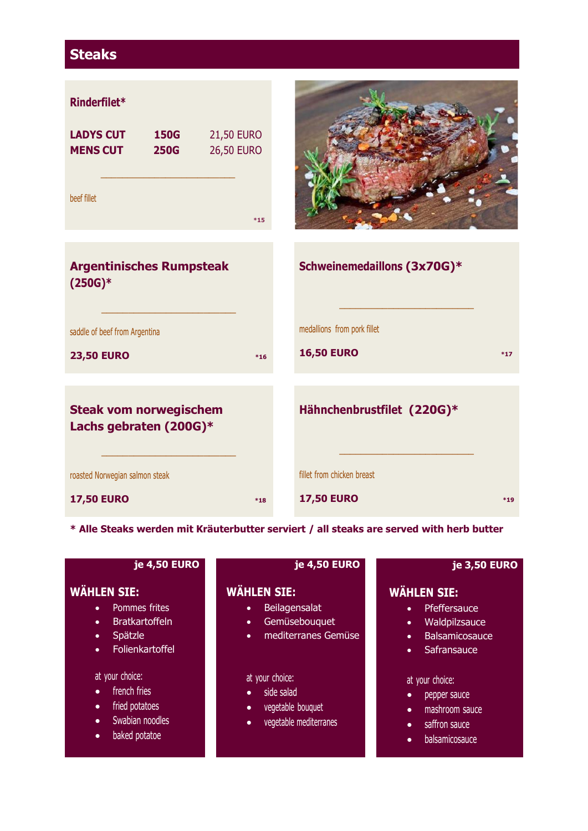## **Steaks**



**\* Alle Steaks werden mit Kräuterbutter serviert / all steaks are served with herb butter**

| je 4,50 EURO                                                                                                                                   | je 4,50 EURO                                                                                                        | je 3,50 EURO                                                                                                                             |
|------------------------------------------------------------------------------------------------------------------------------------------------|---------------------------------------------------------------------------------------------------------------------|------------------------------------------------------------------------------------------------------------------------------------------|
| <b>WÄHLEN SIE:</b><br>Pommes frites<br>$\bullet$<br><b>Bratkartoffeln</b><br>$\bullet$<br>Spätzle<br>$\bullet$<br>Folienkartoffel<br>$\bullet$ | <b>WÄHLEN SIE:</b><br>Beilagensalat<br>$\bullet$<br>Gemüsebouquet<br>$\bullet$<br>mediterranes Gemüse<br>$\bullet$  | <b>WÄHLEN SIE:</b><br>Pfeffersauce<br>$\bullet$<br>Waldpilzsauce<br>$\bullet$<br>Balsamicosauce<br>$\bullet$<br>Safransauce<br>$\bullet$ |
| at your choice:<br>french fries<br>$\bullet$<br>fried potatoes<br>$\bullet$<br>Swabian noodles<br>$\bullet$<br>baked potatoe<br>$\bullet$      | at your choice:<br>side salad<br>$\bullet$<br>vegetable bouquet<br>$\bullet$<br>vegetable mediterranes<br>$\bullet$ | at your choice:<br>pepper sauce<br>mashroom sauce<br>$\bullet$<br>saffron sauce<br>$\bullet$<br>balsamicosauce<br>$\bullet$              |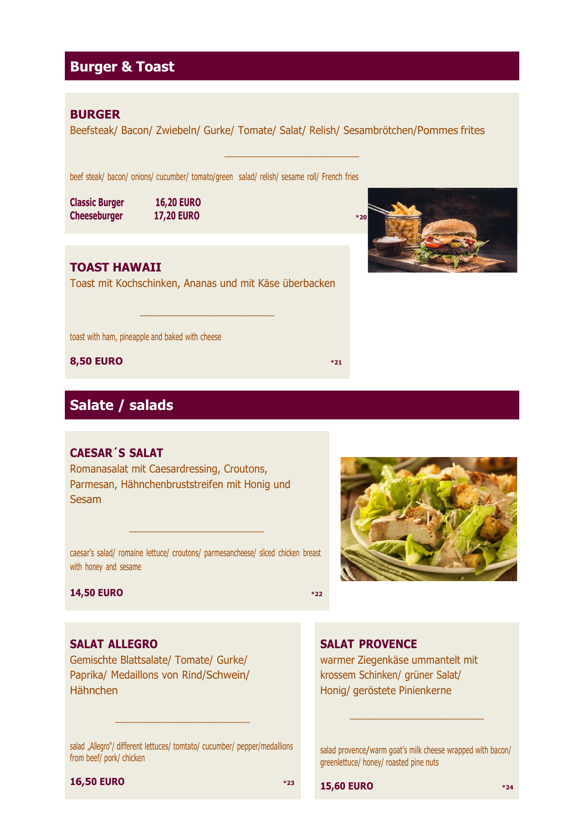## **Burger & Toast**

### **BURGER**

Beefsteak/ Bacon/ Zwiebeln/ Gurke/ Tomate/ Salat/ Relish/ Sesambrötchen/Pommes frites

\_\_\_\_\_\_\_\_\_\_\_\_\_\_\_\_\_\_\_\_\_\_\_\_\_

beef steak/ bacon/ onions/ cucumber/ tomato/green salad/ relish/ sesame roll/ French fries

**Classic Burger 16,20 EURO Cheeseburger 17,20 EURO \*20** 

## **TOAST HAWAII**

Toast mit Kochschinken, Ananas und mit Käse überbacken

\_\_\_\_\_\_\_\_\_\_\_\_\_\_\_\_\_\_\_\_\_\_\_\_\_

toast with ham, pineapple and baked with cheese

**8,50 EURO \*21**

## **Salate / salads**

## **CAESAR´S SALAT**

Romanasalat mit Caesardressing, Croutons, Parmesan, Hähnchenbruststreifen mit Honig und **Sesam** 

caesar's salad/ romaine lettuce/ croutons/ parmesancheese/ sliced chicken breast with honey and sesame

\_\_\_\_\_\_\_\_\_\_\_\_\_\_\_\_\_\_\_\_\_\_\_\_\_

#### **14,50 EURO \*22**

## **SALAT ALLEGRO**

Gemischte Blattsalate/ Tomate/ Gurke/ Paprika/ Medaillons von Rind/Schwein/ Hähnchen

salad "Allegro"/ different lettuces/ tomtato/ cucumber/ pepper/medallions from beef/ pork/ chicken

\_\_\_\_\_\_\_\_\_\_\_\_\_\_\_\_\_\_\_\_\_\_\_\_\_



## **SALAT PROVENCE**

warmer Ziegenkäse ummantelt mit krossem Schinken/ grüner Salat/ Honig/ geröstete Pinienkerne

salad provence/warm goat's milk cheese wrapped with bacon/ greenlettuce/ honey/ roasted pine nuts

\_\_\_\_\_\_\_\_\_\_\_\_\_\_\_\_\_\_\_\_\_\_\_\_\_

#### **16,50 EURO \*23**